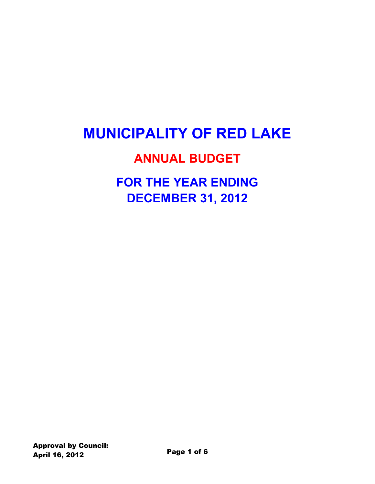# **MUNICIPALITY OF RED LAKE**

### **ANNUAL BUDGET**

## **FOR THE YEAR ENDING DECEMBER 31, 2012**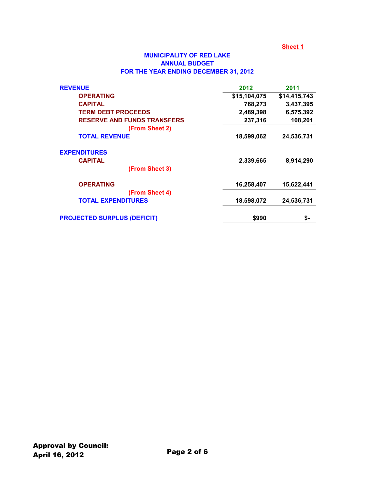#### **MUNICIPALITY OF RED LAKE ANNUAL BUDGET FOR THE YEAR ENDING DECEMBER 31, 2012**

| <b>REVENUE</b>                     | 2012         | 2011         |
|------------------------------------|--------------|--------------|
| <b>OPERATING</b>                   | \$15,104,075 | \$14,415,743 |
| <b>CAPITAL</b>                     | 768,273      | 3,437,395    |
| <b>TERM DEBT PROCEEDS</b>          | 2,489,398    | 6,575,392    |
| <b>RESERVE AND FUNDS TRANSFERS</b> | 237,316      | 108,201      |
| (From Sheet 2)                     |              |              |
| <b>TOTAL REVENUE</b>               | 18,599,062   | 24,536,731   |
| <b>EXPENDITURES</b>                |              |              |
| <b>CAPITAL</b>                     | 2,339,665    | 8,914,290    |
| (From Sheet 3)                     |              |              |
| <b>OPERATING</b>                   | 16,258,407   | 15,622,441   |
| (From Sheet 4)                     |              |              |
| <b>TOTAL EXPENDITURES</b>          | 18,598,072   | 24,536,731   |
| <b>PROJECTED SURPLUS (DEFICIT)</b> | \$990        | \$-          |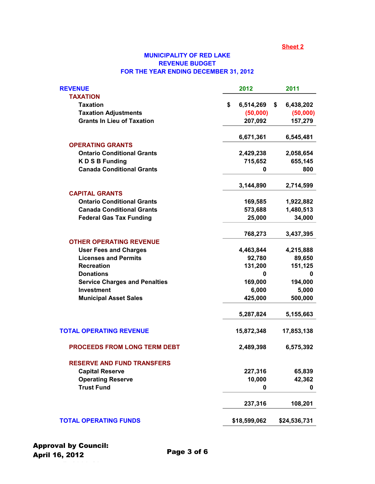#### **MUNICIPALITY OF RED LAKE REVENUE BUDGET FOR THE YEAR ENDING DECEMBER 31, 2012**

| <b>TAXATION</b><br>\$<br><b>Taxation</b><br>6,514,269<br>\$<br><b>Taxation Adjustments</b><br>(50,000)<br><b>Grants In Lieu of Taxation</b><br>207,092<br>6,671,361<br><b>OPERATING GRANTS</b><br><b>Ontario Conditional Grants</b><br>2,429,238<br><b>KDSBFunding</b><br>715,652<br><b>Canada Conditional Grants</b><br>0<br>3,144,890<br><b>CAPITAL GRANTS</b><br><b>Ontario Conditional Grants</b><br>169,585<br><b>Canada Conditional Grants</b><br>573,688<br><b>Federal Gas Tax Funding</b><br>25,000<br>768,273<br><b>OTHER OPERATING REVENUE</b><br><b>User Fees and Charges</b><br>4,463,844<br><b>Licenses and Permits</b><br>92,780<br>131,200<br><b>Recreation</b><br><b>Donations</b><br>0<br>169,000<br><b>Service Charges and Penalties</b><br><b>Investment</b><br>6,000<br><b>Municipal Asset Sales</b><br>425,000<br>5,287,824<br><b>TOTAL OPERATING REVENUE</b><br>15,872,348<br><b>PROCEEDS FROM LONG TERM DEBT</b><br>2,489,398<br><b>RESERVE AND FUND TRANSFERS</b><br><b>Capital Reserve</b><br>227,316<br>10,000<br><b>Operating Reserve</b><br><b>Trust Fund</b><br>0 | 2012<br>2011 | <b>REVENUE</b> |
|------------------------------------------------------------------------------------------------------------------------------------------------------------------------------------------------------------------------------------------------------------------------------------------------------------------------------------------------------------------------------------------------------------------------------------------------------------------------------------------------------------------------------------------------------------------------------------------------------------------------------------------------------------------------------------------------------------------------------------------------------------------------------------------------------------------------------------------------------------------------------------------------------------------------------------------------------------------------------------------------------------------------------------------------------------------------------------------------|--------------|----------------|
|                                                                                                                                                                                                                                                                                                                                                                                                                                                                                                                                                                                                                                                                                                                                                                                                                                                                                                                                                                                                                                                                                                |              |                |
|                                                                                                                                                                                                                                                                                                                                                                                                                                                                                                                                                                                                                                                                                                                                                                                                                                                                                                                                                                                                                                                                                                | 6,438,202    |                |
|                                                                                                                                                                                                                                                                                                                                                                                                                                                                                                                                                                                                                                                                                                                                                                                                                                                                                                                                                                                                                                                                                                | (50,000)     |                |
|                                                                                                                                                                                                                                                                                                                                                                                                                                                                                                                                                                                                                                                                                                                                                                                                                                                                                                                                                                                                                                                                                                | 157,279      |                |
|                                                                                                                                                                                                                                                                                                                                                                                                                                                                                                                                                                                                                                                                                                                                                                                                                                                                                                                                                                                                                                                                                                | 6,545,481    |                |
|                                                                                                                                                                                                                                                                                                                                                                                                                                                                                                                                                                                                                                                                                                                                                                                                                                                                                                                                                                                                                                                                                                |              |                |
|                                                                                                                                                                                                                                                                                                                                                                                                                                                                                                                                                                                                                                                                                                                                                                                                                                                                                                                                                                                                                                                                                                | 2,058,654    |                |
|                                                                                                                                                                                                                                                                                                                                                                                                                                                                                                                                                                                                                                                                                                                                                                                                                                                                                                                                                                                                                                                                                                | 655,145      |                |
|                                                                                                                                                                                                                                                                                                                                                                                                                                                                                                                                                                                                                                                                                                                                                                                                                                                                                                                                                                                                                                                                                                | 800          |                |
|                                                                                                                                                                                                                                                                                                                                                                                                                                                                                                                                                                                                                                                                                                                                                                                                                                                                                                                                                                                                                                                                                                | 2,714,599    |                |
|                                                                                                                                                                                                                                                                                                                                                                                                                                                                                                                                                                                                                                                                                                                                                                                                                                                                                                                                                                                                                                                                                                |              |                |
|                                                                                                                                                                                                                                                                                                                                                                                                                                                                                                                                                                                                                                                                                                                                                                                                                                                                                                                                                                                                                                                                                                | 1,922,882    |                |
|                                                                                                                                                                                                                                                                                                                                                                                                                                                                                                                                                                                                                                                                                                                                                                                                                                                                                                                                                                                                                                                                                                | 1,480,513    |                |
|                                                                                                                                                                                                                                                                                                                                                                                                                                                                                                                                                                                                                                                                                                                                                                                                                                                                                                                                                                                                                                                                                                | 34,000       |                |
|                                                                                                                                                                                                                                                                                                                                                                                                                                                                                                                                                                                                                                                                                                                                                                                                                                                                                                                                                                                                                                                                                                | 3,437,395    |                |
|                                                                                                                                                                                                                                                                                                                                                                                                                                                                                                                                                                                                                                                                                                                                                                                                                                                                                                                                                                                                                                                                                                |              |                |
|                                                                                                                                                                                                                                                                                                                                                                                                                                                                                                                                                                                                                                                                                                                                                                                                                                                                                                                                                                                                                                                                                                | 4,215,888    |                |
|                                                                                                                                                                                                                                                                                                                                                                                                                                                                                                                                                                                                                                                                                                                                                                                                                                                                                                                                                                                                                                                                                                | 89,650       |                |
|                                                                                                                                                                                                                                                                                                                                                                                                                                                                                                                                                                                                                                                                                                                                                                                                                                                                                                                                                                                                                                                                                                | 151,125      |                |
|                                                                                                                                                                                                                                                                                                                                                                                                                                                                                                                                                                                                                                                                                                                                                                                                                                                                                                                                                                                                                                                                                                | 0            |                |
|                                                                                                                                                                                                                                                                                                                                                                                                                                                                                                                                                                                                                                                                                                                                                                                                                                                                                                                                                                                                                                                                                                | 194,000      |                |
|                                                                                                                                                                                                                                                                                                                                                                                                                                                                                                                                                                                                                                                                                                                                                                                                                                                                                                                                                                                                                                                                                                | 5,000        |                |
|                                                                                                                                                                                                                                                                                                                                                                                                                                                                                                                                                                                                                                                                                                                                                                                                                                                                                                                                                                                                                                                                                                | 500,000      |                |
|                                                                                                                                                                                                                                                                                                                                                                                                                                                                                                                                                                                                                                                                                                                                                                                                                                                                                                                                                                                                                                                                                                | 5,155,663    |                |
|                                                                                                                                                                                                                                                                                                                                                                                                                                                                                                                                                                                                                                                                                                                                                                                                                                                                                                                                                                                                                                                                                                | 17,853,138   |                |
|                                                                                                                                                                                                                                                                                                                                                                                                                                                                                                                                                                                                                                                                                                                                                                                                                                                                                                                                                                                                                                                                                                | 6,575,392    |                |
|                                                                                                                                                                                                                                                                                                                                                                                                                                                                                                                                                                                                                                                                                                                                                                                                                                                                                                                                                                                                                                                                                                |              |                |
|                                                                                                                                                                                                                                                                                                                                                                                                                                                                                                                                                                                                                                                                                                                                                                                                                                                                                                                                                                                                                                                                                                | 65,839       |                |
|                                                                                                                                                                                                                                                                                                                                                                                                                                                                                                                                                                                                                                                                                                                                                                                                                                                                                                                                                                                                                                                                                                | 42,362       |                |
|                                                                                                                                                                                                                                                                                                                                                                                                                                                                                                                                                                                                                                                                                                                                                                                                                                                                                                                                                                                                                                                                                                | 0            |                |
| 237,316                                                                                                                                                                                                                                                                                                                                                                                                                                                                                                                                                                                                                                                                                                                                                                                                                                                                                                                                                                                                                                                                                        | 108,201      |                |
| <b>TOTAL OPERATING FUNDS</b><br>\$18,599,062                                                                                                                                                                                                                                                                                                                                                                                                                                                                                                                                                                                                                                                                                                                                                                                                                                                                                                                                                                                                                                                   | \$24,536,731 |                |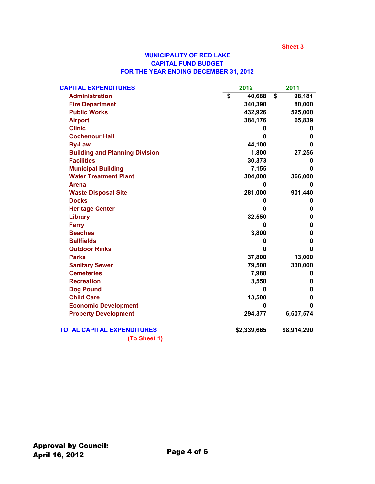#### **MUNICIPALITY OF RED LAKE CAPITAL FUND BUDGET FOR THE YEAR ENDING DECEMBER 31, 2012**

| <b>CAPITAL EXPENDITURES</b>           | 2012         |                                      | 2011        |
|---------------------------------------|--------------|--------------------------------------|-------------|
| <b>Administration</b>                 | \$<br>40,688 | $\overline{\boldsymbol{\mathsf{s}}}$ | 98,181      |
| <b>Fire Department</b>                | 340,390      |                                      | 80,000      |
| <b>Public Works</b>                   | 432,926      |                                      | 525,000     |
| <b>Airport</b>                        | 384,176      |                                      | 65,839      |
| <b>Clinic</b>                         | 0            |                                      | O           |
| <b>Cochenour Hall</b>                 | 0            |                                      | 0           |
| <b>By-Law</b>                         | 44,100       |                                      | 0           |
| <b>Building and Planning Division</b> | 1,800        |                                      | 27,256      |
| <b>Facilities</b>                     | 30,373       |                                      | 0           |
| <b>Municipal Building</b>             | 7,155        |                                      | 0           |
| <b>Water Treatment Plant</b>          | 304,000      |                                      | 366,000     |
| <b>Arena</b>                          | $\bf{0}$     |                                      | 0           |
| <b>Waste Disposal Site</b>            | 281,000      |                                      | 901,440     |
| <b>Docks</b>                          | 0            |                                      | 0           |
| <b>Heritage Center</b>                | 0            |                                      | 0           |
| Library                               | 32,550       |                                      | 0           |
| <b>Ferry</b>                          | 0            |                                      | 0           |
| <b>Beaches</b>                        | 3,800        |                                      | 0           |
| <b>Ballfields</b>                     | 0            |                                      | 0           |
| <b>Outdoor Rinks</b>                  | 0            |                                      | 0           |
| <b>Parks</b>                          | 37,800       |                                      | 13,000      |
| <b>Sanitary Sewer</b>                 | 79,500       |                                      | 330,000     |
| <b>Cemeteries</b>                     | 7,980        |                                      | 0           |
| <b>Recreation</b>                     | 3,550        |                                      | 0           |
| <b>Dog Pound</b>                      | 0            |                                      | 0           |
| <b>Child Care</b>                     | 13,500       |                                      | 0           |
| <b>Economic Development</b>           | 0            |                                      | 0           |
| <b>Property Development</b>           | 294,377      |                                      | 6,507,574   |
| <b>TOTAL CAPITAL EXPENDITURES</b>     | \$2,339,665  |                                      | \$8,914,290 |
| (To Sheet 1)                          |              |                                      |             |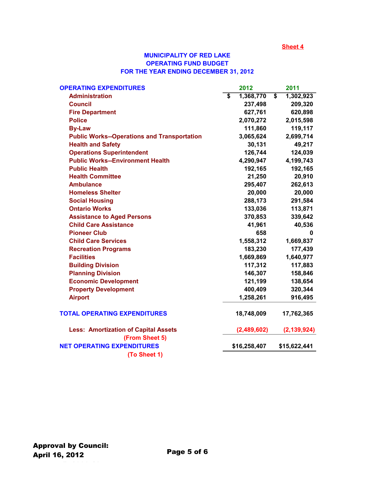#### **MUNICIPALITY OF RED LAKE OPERATING FUND BUDGET FOR THE YEAR ENDING DECEMBER 31, 2012**

| <b>OPERATING EXPENDITURES</b>                      |                         | 2012         | 2011            |
|----------------------------------------------------|-------------------------|--------------|-----------------|
| <b>Administration</b>                              | $\overline{\mathbf{s}}$ | 1,368,770    | \$<br>1,302,923 |
| <b>Council</b>                                     |                         | 237,498      | 209,320         |
| <b>Fire Department</b>                             |                         | 627,761      | 620,898         |
| <b>Police</b>                                      |                         | 2,070,272    | 2,015,598       |
| <b>By-Law</b>                                      |                         | 111,860      | 119,117         |
| <b>Public Works--Operations and Transportation</b> |                         | 3,065,624    | 2,699,714       |
| <b>Health and Safety</b>                           |                         | 30,131       | 49,217          |
| <b>Operations Superintendent</b>                   |                         | 126,744      | 124,039         |
| <b>Public Works--Environment Health</b>            |                         | 4,290,947    | 4,199,743       |
| <b>Public Health</b>                               |                         | 192,165      | 192,165         |
| <b>Health Committee</b>                            |                         | 21,250       | 20,910          |
| <b>Ambulance</b>                                   |                         | 295,407      | 262,613         |
| <b>Homeless Shelter</b>                            |                         | 20,000       | 20,000          |
| <b>Social Housing</b>                              |                         | 288,173      | 291,584         |
| <b>Ontario Works</b>                               |                         | 133,036      | 113,871         |
| <b>Assistance to Aged Persons</b>                  |                         | 370,853      | 339,642         |
| <b>Child Care Assistance</b>                       |                         | 41,961       | 40,536          |
| <b>Pioneer Club</b>                                |                         | 658          | 0               |
| <b>Child Care Services</b>                         |                         | 1,558,312    | 1,669,837       |
| <b>Recreation Programs</b>                         |                         | 183,230      | 177,439         |
| <b>Facilities</b>                                  |                         | 1,669,869    | 1,640,977       |
| <b>Building Division</b>                           |                         | 117,312      | 117,883         |
| <b>Planning Division</b>                           |                         | 146,307      | 158,846         |
| <b>Economic Development</b>                        |                         | 121,199      | 138,654         |
| <b>Property Development</b>                        |                         | 400,409      | 320,344         |
| <b>Airport</b>                                     |                         | 1,258,261    | 916,495         |
| <b>TOTAL OPERATING EXPENDITURES</b>                |                         | 18,748,009   | 17,762,365      |
| <b>Less: Amortization of Capital Assets</b>        |                         | (2,489,602)  | (2, 139, 924)   |
| (From Sheet 5)                                     |                         |              |                 |
| <b>NET OPERATING EXPENDITURES</b>                  |                         | \$16,258,407 | \$15,622,441    |
| (To Sheet 1)                                       |                         |              |                 |